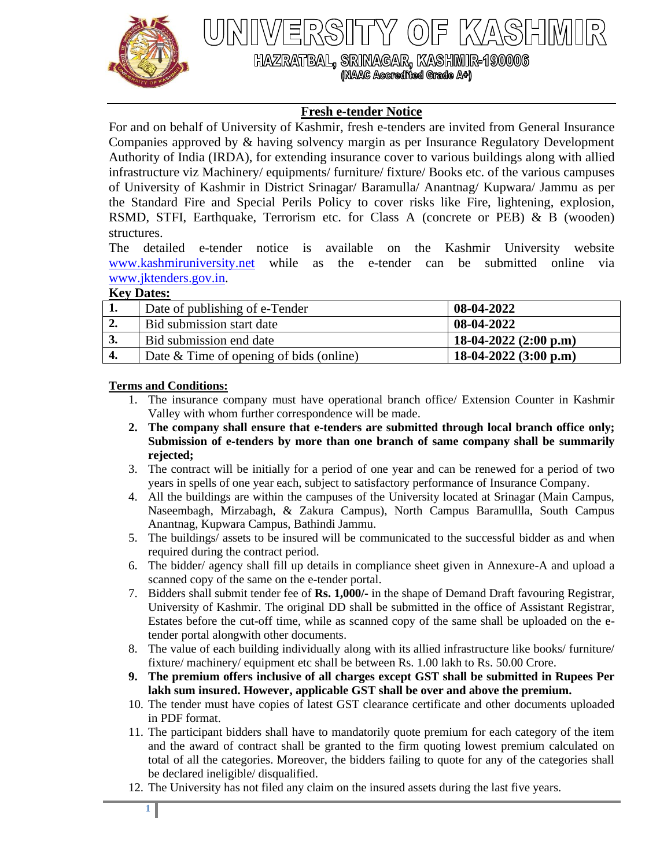

X/4\S|H||M

HAZRATBAL, SRINAGAR, KASHMIR-1900006 (NAAC Accredited Grade A+)

# **Fresh e-tender Notice**

For and on behalf of University of Kashmir, fresh e-tenders are invited from General Insurance Companies approved by & having solvency margin as per Insurance Regulatory Development Authority of India (IRDA), for extending insurance cover to various buildings along with allied infrastructure viz Machinery/ equipments/ furniture/ fixture/ Books etc. of the various campuses of University of Kashmir in District Srinagar/ Baramulla/ Anantnag/ Kupwara/ Jammu as per the Standard Fire and Special Perils Policy to cover risks like Fire, lightening, explosion, RSMD, STFI, Earthquake, Terrorism etc. for Class A (concrete or PEB) & B (wooden) structures.

The detailed e-tender notice is available on the Kashmir University website [www.kashmiruniversity.net](http://www.kashmiruniversity.net/) while as the e-tender can be submitted online via [www.jktenders.gov.in.](http://www.jktenders.gov.in/)

#### **Key Dates:**

| ı.               | Date of publishing of e-Tender            | 08-04-2022                      |
|------------------|-------------------------------------------|---------------------------------|
| $\overline{2}$ . | Bid submission start date                 | 08-04-2022                      |
| 3.               | Bid submission end date                   | 18-04-2022 $(2:00 \text{ p.m})$ |
| −.               | Date $&$ Time of opening of bids (online) | 18-04-2022 $(3:00 \text{ p.m})$ |

#### **Terms and Conditions:**

- 1. The insurance company must have operational branch office/ Extension Counter in Kashmir Valley with whom further correspondence will be made.
- **2. The company shall ensure that e-tenders are submitted through local branch office only; Submission of e-tenders by more than one branch of same company shall be summarily rejected;**
- 3. The contract will be initially for a period of one year and can be renewed for a period of two years in spells of one year each, subject to satisfactory performance of Insurance Company.
- 4. All the buildings are within the campuses of the University located at Srinagar (Main Campus, Naseembagh, Mirzabagh, & Zakura Campus), North Campus Baramullla, South Campus Anantnag, Kupwara Campus, Bathindi Jammu.
- 5. The buildings/ assets to be insured will be communicated to the successful bidder as and when required during the contract period.
- 6. The bidder/ agency shall fill up details in compliance sheet given in Annexure-A and upload a scanned copy of the same on the e-tender portal.
- 7. Bidders shall submit tender fee of **Rs. 1,000/-** in the shape of Demand Draft favouring Registrar, University of Kashmir. The original DD shall be submitted in the office of Assistant Registrar, Estates before the cut-off time, while as scanned copy of the same shall be uploaded on the etender portal alongwith other documents.
- 8. The value of each building individually along with its allied infrastructure like books/ furniture/ fixture/ machinery/ equipment etc shall be between Rs. 1.00 lakh to Rs. 50.00 Crore.
- **9. The premium offers inclusive of all charges except GST shall be submitted in Rupees Per lakh sum insured. However, applicable GST shall be over and above the premium.**
- 10. The tender must have copies of latest GST clearance certificate and other documents uploaded in PDF format.
- 11. The participant bidders shall have to mandatorily quote premium for each category of the item and the award of contract shall be granted to the firm quoting lowest premium calculated on total of all the categories. Moreover, the bidders failing to quote for any of the categories shall be declared ineligible/ disqualified.
- 12. The University has not filed any claim on the insured assets during the last five years.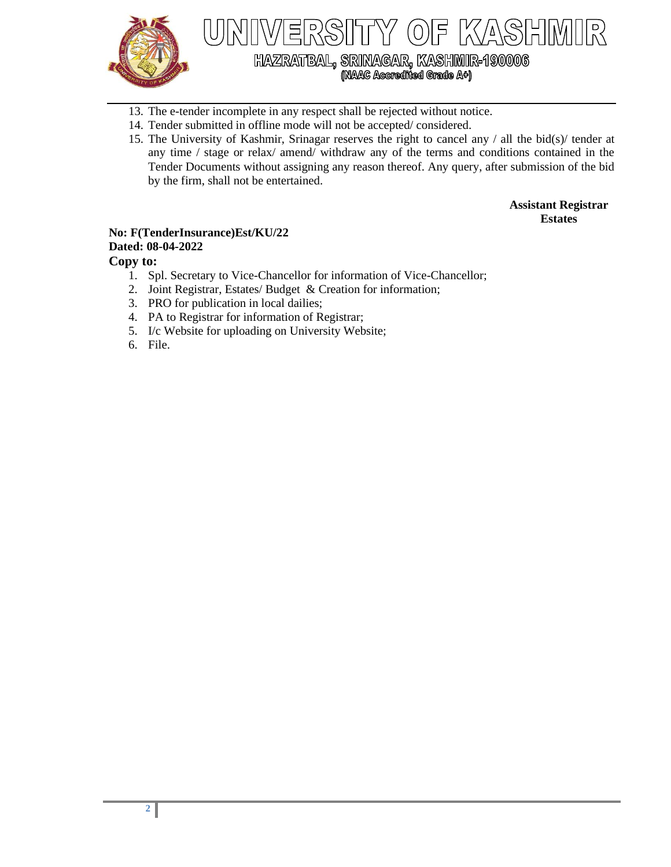

HAZRATBAL, SRINAGAR, KASHMIR-190006<br>(NAAC Accredited Grade A+)

- 13. The e-tender incomplete in any respect shall be rejected without notice.
- 14. Tender submitted in offline mode will not be accepted/ considered.
- 15. The University of Kashmir, Srinagar reserves the right to cancel any / all the bid(s)/ tender at any time / stage or relax/ amend/ withdraw any of the terms and conditions contained in the Tender Documents without assigning any reason thereof. Any query, after submission of the bid by the firm, shall not be entertained.

**Assistant Registrar Estates**

#### **No: F(TenderInsurance)Est/KU/22 Dated: 08-04-2022**

### **Copy to:**

- 1. Spl. Secretary to Vice-Chancellor for information of Vice-Chancellor;
- 2. Joint Registrar, Estates/ Budget & Creation for information;
- 3. PRO for publication in local dailies;
- 4. PA to Registrar for information of Registrar;
- 5. I/c Website for uploading on University Website;
- 6. File.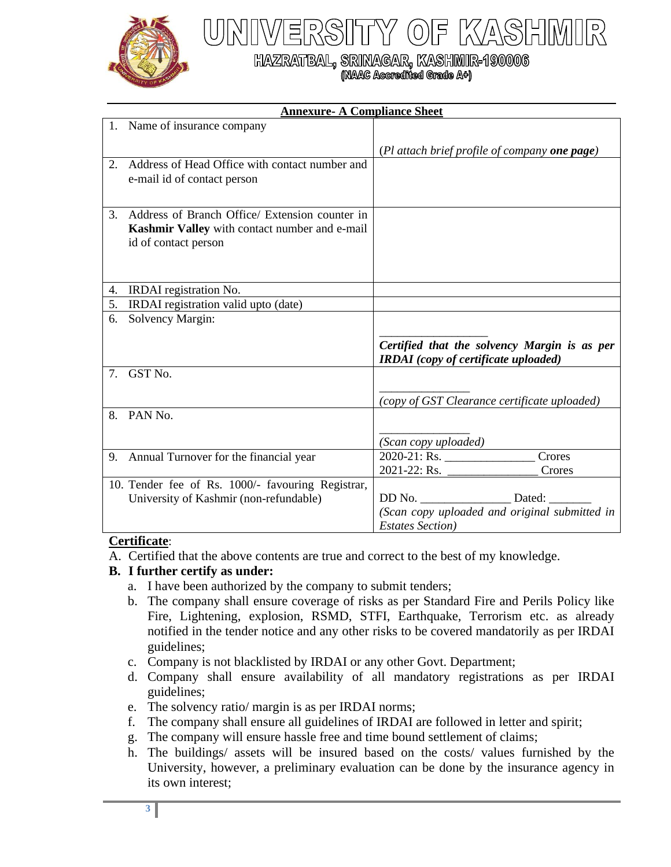

# HAZRATBAL, SRINAGAR, KASHMIR-190006<br>(NAAC Accredited Grade A+)

| <b>Annexure- A Compliance Sheet</b> |                                                                                                                         |                                                                                             |  |
|-------------------------------------|-------------------------------------------------------------------------------------------------------------------------|---------------------------------------------------------------------------------------------|--|
|                                     | 1. Name of insurance company                                                                                            |                                                                                             |  |
|                                     |                                                                                                                         | (Pl attach brief profile of company one page)                                               |  |
| 2.                                  | Address of Head Office with contact number and<br>e-mail id of contact person                                           |                                                                                             |  |
| 3.                                  | Address of Branch Office/ Extension counter in<br>Kashmir Valley with contact number and e-mail<br>id of contact person |                                                                                             |  |
| 4.                                  | IRDAI registration No.                                                                                                  |                                                                                             |  |
| 5.                                  | IRDAI registration valid upto (date)                                                                                    |                                                                                             |  |
| 6.                                  | Solvency Margin:                                                                                                        |                                                                                             |  |
|                                     |                                                                                                                         | Certified that the solvency Margin is as per<br><b>IRDAI</b> (copy of certificate uploaded) |  |
| $7_{\scriptscriptstyle{\ddots}}$    | GST <sub>No.</sub>                                                                                                      |                                                                                             |  |
|                                     |                                                                                                                         | (copy of GST Clearance certificate uploaded)                                                |  |
| 8.                                  | PAN No.                                                                                                                 |                                                                                             |  |
|                                     |                                                                                                                         | (Scan copy uploaded)                                                                        |  |
|                                     | 9. Annual Turnover for the financial year                                                                               | Crores<br>$2021 - 22$ : Rs.<br>Crores                                                       |  |
|                                     | 10. Tender fee of Rs. 1000/- favouring Registrar,<br>University of Kashmir (non-refundable)                             | DD No. Dated:<br>(Scan copy uploaded and original submitted in<br><b>Estates Section</b> )  |  |

# **Certificate**:

A. Certified that the above contents are true and correct to the best of my knowledge.

# **B. I further certify as under:**

- a. I have been authorized by the company to submit tenders;
- b. The company shall ensure coverage of risks as per Standard Fire and Perils Policy like Fire, Lightening, explosion, RSMD, STFI, Earthquake, Terrorism etc. as already notified in the tender notice and any other risks to be covered mandatorily as per IRDAI guidelines;
- c. Company is not blacklisted by IRDAI or any other Govt. Department;
- d. Company shall ensure availability of all mandatory registrations as per IRDAI guidelines;
- e. The solvency ratio/ margin is as per IRDAI norms;
- f. The company shall ensure all guidelines of IRDAI are followed in letter and spirit;
- g. The company will ensure hassle free and time bound settlement of claims;
- h. The buildings/ assets will be insured based on the costs/ values furnished by the University, however, a preliminary evaluation can be done by the insurance agency in its own interest;